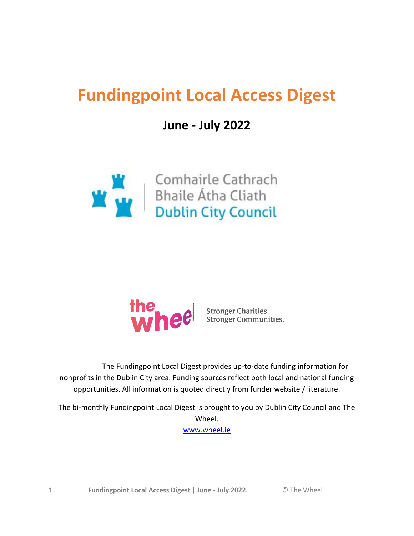# <span id="page-0-0"></span>**Fundingpoint Local Access Digest**

## **June - July 2022**





 The Fundingpoint Local Digest provides up-to-date funding information for nonprofits in the Dublin City area. Funding sources reflect both local and national funding opportunities. All information is quoted directly from funder website / literature.

The bi-monthly Fundingpoint Local Digest is brought to you by Dublin City Council and The Wheel.

[www.wheel.ie](http://www.wheel.ie/)

1 **Fundingpoint Local Access Digest | June - July 2022.** © The Wheel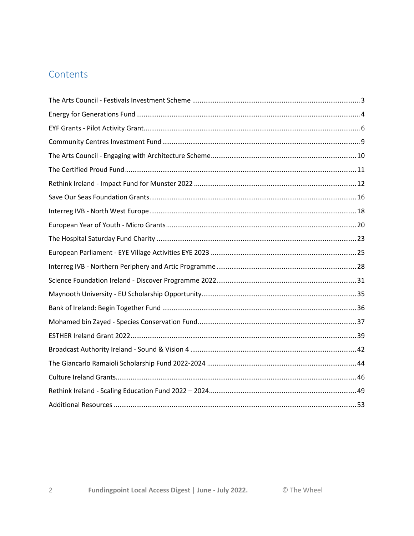## Contents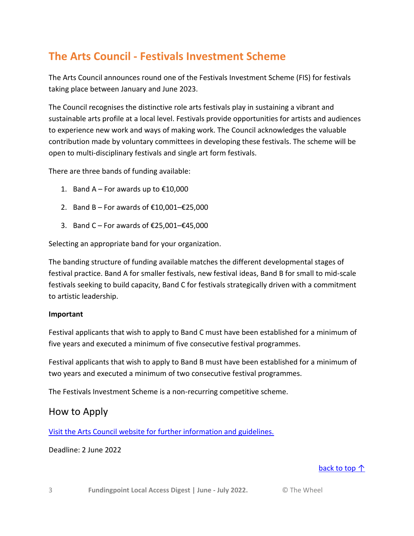## <span id="page-2-0"></span>**The Arts Council - Festivals Investment Scheme**

The Arts Council announces round one of the Festivals Investment Scheme (FIS) for festivals taking place between January and June 2023.

The Council recognises the distinctive role arts festivals play in sustaining a vibrant and sustainable arts profile at a local level. Festivals provide opportunities for artists and audiences to experience new work and ways of making work. The Council acknowledges the valuable contribution made by voluntary committees in developing these festivals. The scheme will be open to multi-disciplinary festivals and single art form festivals.

There are three bands of funding available:

- 1. Band A For awards up to  $£10,000$
- 2. Band B For awards of €10,001–€25,000
- 3. Band C For awards of €25,001–€45,000

Selecting an appropriate band for your organization.

The banding structure of funding available matches the different developmental stages of festival practice. Band A for smaller festivals, new festival ideas, Band B for small to mid-scale festivals seeking to build capacity, Band C for festivals strategically driven with a commitment to artistic leadership.

#### **Important**

Festival applicants that wish to apply to Band C must have been established for a minimum of five years and executed a minimum of five consecutive festival programmes.

Festival applicants that wish to apply to Band B must have been established for a minimum of two years and executed a minimum of two consecutive festival programmes.

The Festivals Investment Scheme is a non-recurring competitive scheme.

#### How to Apply

[Visit the Arts Council website for further information and guidelines.](http://www.artscouncil.ie/Funds/Festivals-Investment-Scheme/)

#### Deadline: 2 June 2022

#### [back to top ↑](#page-0-0)

3 **Fundingpoint Local Access Digest | June - July 2022.** © The Wheel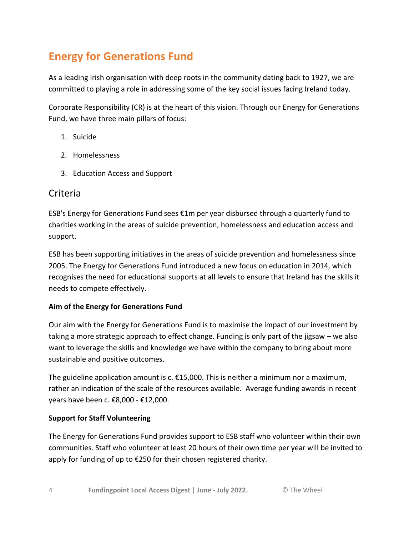## <span id="page-3-0"></span>**Energy for Generations Fund**

As a leading Irish organisation with deep roots in the community dating back to 1927, we are committed to playing a role in addressing some of the key social issues facing Ireland today.

Corporate Responsibility (CR) is at the heart of this vision. Through our Energy for Generations Fund, we have three main pillars of focus:

- 1. Suicide
- 2. Homelessness
- 3. Education Access and Support

### **Criteria**

ESB's Energy for Generations Fund sees €1m per year disbursed through a quarterly fund to charities working in the areas of suicide prevention, homelessness and education access and support.

ESB has been supporting initiatives in the areas of suicide prevention and homelessness since 2005. The Energy for Generations Fund introduced a new focus on education in 2014, which recognises the need for educational supports at all levels to ensure that Ireland has the skills it needs to compete effectively.

#### **Aim of the Energy for Generations Fund**

Our aim with the Energy for Generations Fund is to maximise the impact of our investment by taking a more strategic approach to effect change. Funding is only part of the jigsaw – we also want to leverage the skills and knowledge we have within the company to bring about more sustainable and positive outcomes.

The guideline application amount is  $c. \, \epsilon$ 15,000. This is neither a minimum nor a maximum, rather an indication of the scale of the resources available. Average funding awards in recent years have been c. €8,000 - €12,000.

#### **Support for Staff Volunteering**

The Energy for Generations Fund provides support to ESB staff who volunteer within their own communities. Staff who volunteer at least 20 hours of their own time per year will be invited to apply for funding of up to €250 for their chosen registered charity.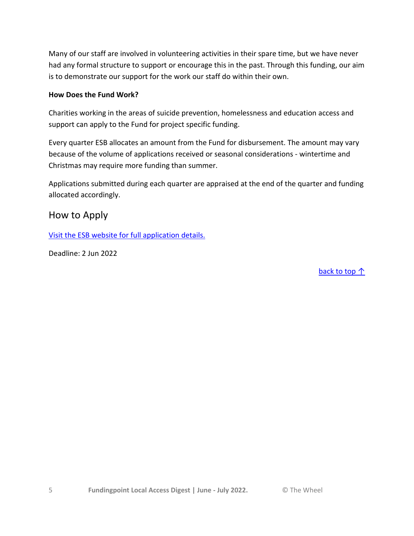Many of our staff are involved in volunteering activities in their spare time, but we have never had any formal structure to support or encourage this in the past. Through this funding, our aim is to demonstrate our support for the work our staff do within their own.

#### **How Does the Fund Work?**

Charities working in the areas of suicide prevention, homelessness and education access and support can apply to the Fund for project specific funding.

Every quarter ESB allocates an amount from the Fund for disbursement. The amount may vary because of the volume of applications received or seasonal considerations - wintertime and Christmas may require more funding than summer.

Applications submitted during each quarter are appraised at the end of the quarter and funding allocated accordingly.

#### How to Apply

[Visit the ESB website for full application details.](https://www.esb.ie/sustainability/efg-funds)

Deadline: 2 Jun 2022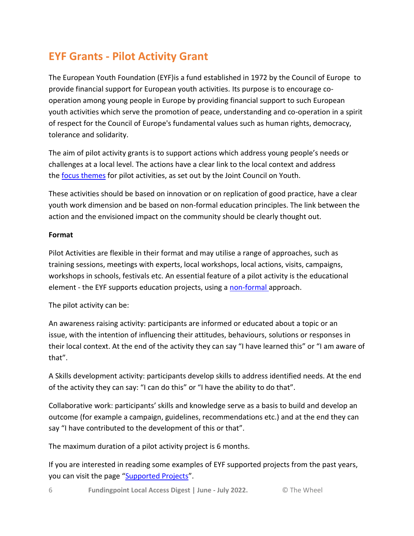## <span id="page-5-0"></span>**EYF Grants - Pilot Activity Grant**

The European Youth Foundation (EYF)is a fund established in 1972 by the Council of Europe to provide financial support for European youth activities. Its purpose is to encourage cooperation among young people in Europe by providing financial support to such European youth activities which serve the promotion of peace, understanding and co-operation in a spirit of respect for the Council of Europe's fundamental values such as human rights, democracy, tolerance and solidarity.

The aim of pilot activity grants is to support actions which address young people's needs or challenges at a local level. The actions have a clear link to the local context and address the [focus themes](https://www.coe.int/en/web/european-youth-foundation/council-of-europe-priorities) for pilot activities, as set out by the Joint Council on Youth.

These activities should be based on innovation or on replication of good practice, have a clear youth work dimension and be based on non-formal education principles. The link between the action and the envisioned impact on the community should be clearly thought out.

#### **Format**

Pilot Activities are flexible in their format and may utilise a range of approaches, such as training sessions, meetings with experts, local workshops, local actions, visits, campaigns, workshops in schools, festivals etc. An essential feature of a pilot activity is the educational element - the EYF supports education projects, using a [non-formal](https://www.coe.int/en/web/european-youth-foundation/non-formal-education) approach.

The pilot activity can be:

An awareness raising activity: participants are informed or educated about a topic or an issue, with the intention of influencing their attitudes, behaviours, solutions or responses in their local context. At the end of the activity they can say "I have learned this" or "I am aware of that".

A Skills development activity: participants develop skills to address identified needs. At the end of the activity they can say: "I can do this" or "I have the ability to do that".

Collaborative work: participants' skills and knowledge serve as a basis to build and develop an outcome (for example a campaign, guidelines, recommendations etc.) and at the end they can say "I have contributed to the development of this or that".

The maximum duration of a pilot activity project is 6 months.

If you are interested in reading some examples of EYF supported projects from the past years, you can visit the page "[Supported Projects](https://www.coe.int/en/web/european-youth-foundation/projects-supported2)".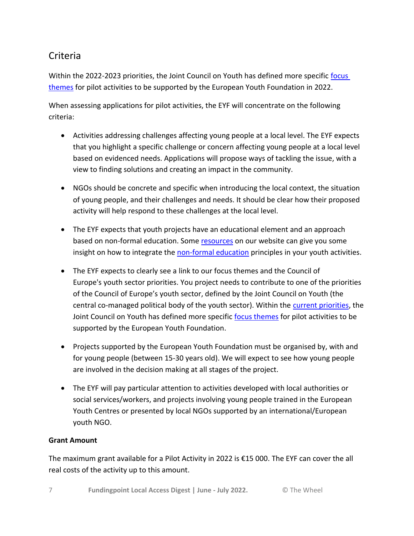### Criteria

Within the 2022-2023 priorities, the Joint Council on Youth has defined more specific [focus](https://www.coe.int/en/web/european-youth-foundation/council-of-europe-priorities)  [themes](https://www.coe.int/en/web/european-youth-foundation/council-of-europe-priorities) for pilot activities to be supported by the European Youth Foundation in 2022.

When assessing applications for pilot activities, the EYF will concentrate on the following criteria:

- Activities addressing challenges affecting young people at a local level. The EYF expects that you highlight a specific challenge or concern affecting young people at a local level based on evidenced needs. Applications will propose ways of tackling the issue, with a view to finding solutions and creating an impact in the community.
- NGOs should be concrete and specific when introducing the local context, the situation of young people, and their challenges and needs. It should be clear how their proposed activity will help respond to these challenges at the local level.
- The EYF expects that youth projects have an educational element and an approach based on non-formal education. Some [resources](https://www.coe.int/en/web/european-youth-foundation/resources) on our website can give you some insight on how to integrate the [non-formal education](https://www.coe.int/en/web/european-youth-foundation/non-formal-education) principles in your youth activities.
- The EYF expects to clearly see a link to our focus themes and the Council of Europe's youth sector priorities. You project needs to contribute to one of the priorities of the Council of Europe's youth sector, defined by the Joint Council on Youth (the central co-managed political body of the youth sector). Within the [current priorities,](https://www.coe.int/en/web/european-youth-foundation/council-of-europe-priorities) the Joint Council on Youth has defined more specific [focus themes](https://www.coe.int/en/web/european-youth-foundation/council-of-europe-priorities) for pilot activities to be supported by the European Youth Foundation.
- Projects supported by the European Youth Foundation must be organised by, with and for young people (between 15-30 years old). We will expect to see how young people are involved in the decision making at all stages of the project.
- The EYF will pay particular attention to activities developed with local authorities or social services/workers, and projects involving young people trained in the European Youth Centres or presented by local NGOs supported by an international/European youth NGO.

#### **Grant Amount**

The maximum grant available for a Pilot Activity in 2022 is €15 000. The EYF can cover the all real costs of the activity up to this amount.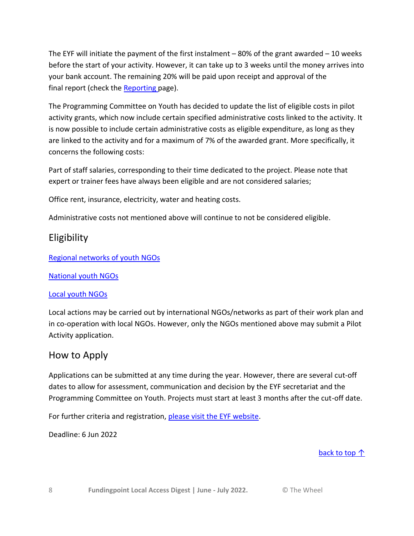The EYF will initiate the payment of the first instalment – 80% of the grant awarded – 10 weeks before the start of your activity. However, it can take up to 3 weeks until the money arrives into your bank account. The remaining 20% will be paid upon receipt and approval of the final report (check the **[Reporting](https://www.coe.int/en/web/european-youth-foundation/reporting)** page).

The Programming Committee on Youth has decided to update the list of eligible costs in pilot activity grants, which now include certain specified administrative costs linked to the activity. It is now possible to include certain administrative costs as eligible expenditure, as long as they are linked to the activity and for a maximum of 7% of the awarded grant. More specifically, it concerns the following costs:

Part of staff salaries, corresponding to their time dedicated to the project. Please note that expert or trainer fees have always been eligible and are not considered salaries;

Office rent, insurance, electricity, water and heating costs.

Administrative costs not mentioned above will continue to not be considered eligible.

### **Eligibility**

[Regional networks of youth NGOs](https://www.coe.int/web/european-youth-foundation/regional-network-of-youth-ngos)

[National youth NGOs](https://www.coe.int/web/european-youth-foundation/national-youth-ngos)

#### [Local youth NGOs](https://www.coe.int/web/european-youth-foundation/local-youth-ngos)

Local actions may be carried out by international NGOs/networks as part of their work plan and in co-operation with local NGOs. However, only the NGOs mentioned above may submit a Pilot Activity application.

### How to Apply

Applications can be submitted at any time during the year. However, there are several cut-off dates to allow for assessment, communication and decision by the EYF secretariat and the Programming Committee on Youth. Projects must start at least 3 months after the cut-off date.

For further criteria and registration, [please visit the EYF website.](https://www.coe.int/en/web/european-youth-foundation/pilot-activity)

Deadline: 6 Jun 2022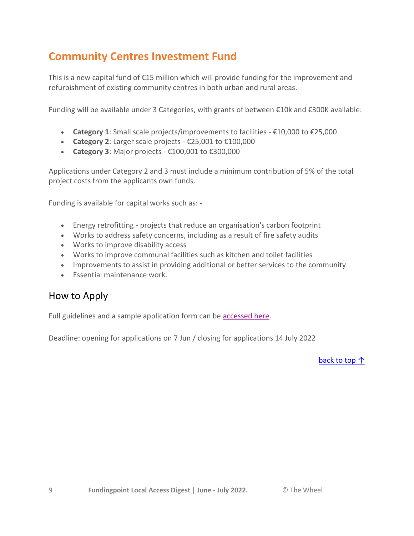## <span id="page-8-0"></span>**Community Centres Investment Fund**

This is a new capital fund of €15 million which will provide funding for the improvement and refurbishment of existing community centres in both urban and rural areas.

Funding will be available under 3 Categories, with grants of between €10k and €300K available:

- **Category 1**: Small scale projects/improvements to facilities €10,000 to €25,000
- **Category 2**: Larger scale projects €25,001 to €100,000
- **Category 3**: Major projects €100,001 to €300,000

Applications under Category 2 and 3 must include a minimum contribution of 5% of the total project costs from the applicants own funds.

Funding is available for capital works such as: -

- Energy retrofitting projects that reduce an organisation's carbon footprint
- Works to address safety concerns, including as a result of fire safety audits
- Works to improve disability access
- Works to improve communal facilities such as kitchen and toilet facilities
- Improvements to assist in providing additional or better services to the community
- Essential maintenance work.

### How to Apply

Full guidelines and a sample application form can be [accessed here.](https://www.gov.ie/en/service/fec91-community-centres-investment-fund/)

Deadline: opening for applications on 7 Jun / closing for applications 14 July 2022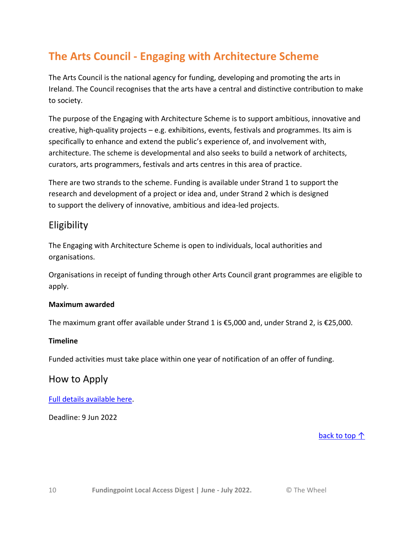## <span id="page-9-0"></span>**The Arts Council - Engaging with Architecture Scheme**

The Arts Council is the national agency for funding, developing and promoting the arts in Ireland. The Council recognises that the arts have a central and distinctive contribution to make to society.

The purpose of the Engaging with Architecture Scheme is to support ambitious, innovative and creative, high-quality projects – e.g. exhibitions, events, festivals and programmes. Its aim is specifically to enhance and extend the public's experience of, and involvement with, architecture. The scheme is developmental and also seeks to build a network of architects, curators, arts programmers, festivals and arts centres in this area of practice.

There are two strands to the scheme. Funding is available under Strand 1 to support the research and development of a project or idea and, under Strand 2 which is designed to support the delivery of innovative, ambitious and idea-led projects.

### Eligibility

The Engaging with Architecture Scheme is open to individuals, local authorities and organisations.

Organisations in receipt of funding through other Arts Council grant programmes are eligible to apply.

#### **Maximum awarded**

The maximum grant offer available under Strand 1 is €5,000 and, under Strand 2, is €25,000.

#### **Timeline**

Funded activities must take place within one year of notification of an offer of funding.

### How to Apply

#### [Full details available here.](https://www.artscouncil.ie/Funds/engaging-with-architecture-scheme/)

Deadline: 9 Jun 2022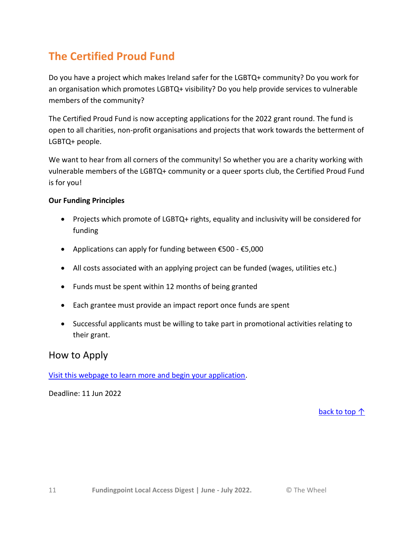## <span id="page-10-0"></span>**The Certified Proud Fund**

Do you have a project which makes Ireland safer for the LGBTQ+ community? Do you work for an organisation which promotes LGBTQ+ visibility? Do you help provide services to vulnerable members of the community?

The Certified Proud Fund is now accepting applications for the 2022 grant round. The fund is open to all charities, non-profit organisations and projects that work towards the betterment of LGBTQ+ people.

We want to hear from all corners of the community! So whether you are a charity working with vulnerable members of the LGBTQ+ community or a queer sports club, the Certified Proud Fund is for you!

#### **Our Funding Principles**

- Projects which promote of LGBTQ+ rights, equality and inclusivity will be considered for funding
- Applications can apply for funding between €500 €5,000
- All costs associated with an applying project can be funded (wages, utilities etc.)
- Funds must be spent within 12 months of being granted
- Each grantee must provide an impact report once funds are spent
- Successful applicants must be willing to take part in promotional activities relating to their grant.

#### How to Apply

[Visit this webpage to learn more and begin your application.](https://www.certifiedproud.com/certified-proud-fund)

Deadline: 11 Jun 2022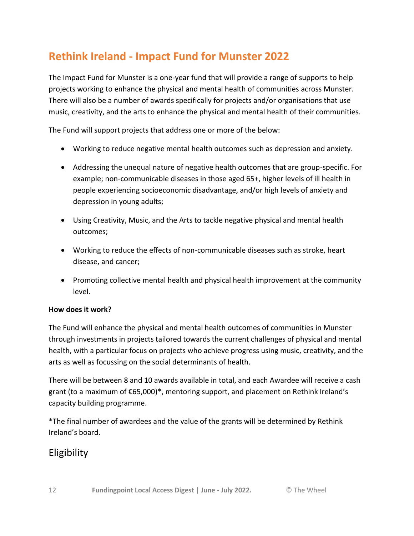## <span id="page-11-0"></span>**Rethink Ireland - Impact Fund for Munster 2022**

The Impact Fund for Munster is a one-year fund that will provide a range of supports to help projects working to enhance the physical and mental health of communities across Munster. There will also be a number of awards specifically for projects and/or organisations that use music, creativity, and the arts to enhance the physical and mental health of their communities.

The Fund will support projects that address one or more of the below:

- Working to reduce negative mental health outcomes such as depression and anxiety.
- Addressing the unequal nature of negative health outcomes that are group-specific. For example; non-communicable diseases in those aged 65+, higher levels of ill health in people experiencing socioeconomic disadvantage, and/or high levels of anxiety and depression in young adults;
- Using Creativity, Music, and the Arts to tackle negative physical and mental health outcomes;
- Working to reduce the effects of non-communicable diseases such as stroke, heart disease, and cancer;
- Promoting collective mental health and physical health improvement at the community level.

#### **How does it work?**

The Fund will enhance the physical and mental health outcomes of communities in Munster through investments in projects tailored towards the current challenges of physical and mental health, with a particular focus on projects who achieve progress using music, creativity, and the arts as well as focussing on the social determinants of health.

There will be between 8 and 10 awards available in total, and each Awardee will receive a cash grant (to a maximum of €65,000)\*, mentoring support, and placement on Rethink Ireland's capacity building programme.

\*The final number of awardees and the value of the grants will be determined by Rethink Ireland's board.

### Eligibility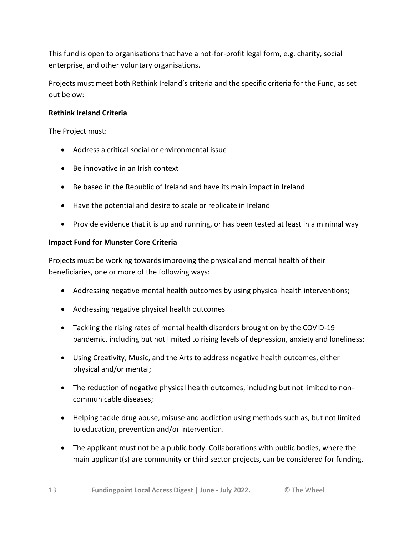This fund is open to organisations that have a not-for-profit legal form, e.g. charity, social enterprise, and other voluntary organisations.

Projects must meet both Rethink Ireland's criteria and the specific criteria for the Fund, as set out below:

#### **Rethink Ireland Criteria**

The Project must:

- Address a critical social or environmental issue
- Be innovative in an Irish context
- Be based in the Republic of Ireland and have its main impact in Ireland
- Have the potential and desire to scale or replicate in Ireland
- Provide evidence that it is up and running, or has been tested at least in a minimal way

#### **Impact Fund for Munster Core Criteria**

Projects must be working towards improving the physical and mental health of their beneficiaries, one or more of the following ways:

- Addressing negative mental health outcomes by using physical health interventions;
- Addressing negative physical health outcomes
- Tackling the rising rates of mental health disorders brought on by the COVID-19 pandemic, including but not limited to rising levels of depression, anxiety and loneliness;
- Using Creativity, Music, and the Arts to address negative health outcomes, either physical and/or mental;
- The reduction of negative physical health outcomes, including but not limited to noncommunicable diseases;
- Helping tackle drug abuse, misuse and addiction using methods such as, but not limited to education, prevention and/or intervention.
- The applicant must not be a public body. Collaborations with public bodies, where the main applicant(s) are community or third sector projects, can be considered for funding.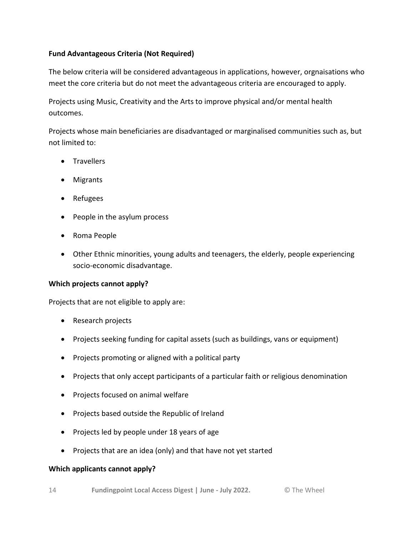#### **Fund Advantageous Criteria (Not Required)**

The below criteria will be considered advantageous in applications, however, orgnaisations who meet the core criteria but do not meet the advantageous criteria are encouraged to apply.

Projects using Music, Creativity and the Arts to improve physical and/or mental health outcomes.

Projects whose main beneficiaries are disadvantaged or marginalised communities such as, but not limited to:

- **•** Travellers
- Migrants
- Refugees
- People in the asylum process
- Roma People
- Other Ethnic minorities, young adults and teenagers, the elderly, people experiencing socio-economic disadvantage.

#### **Which projects cannot apply?**

Projects that are not eligible to apply are:

- Research projects
- Projects seeking funding for capital assets (such as buildings, vans or equipment)
- Projects promoting or aligned with a political party
- Projects that only accept participants of a particular faith or religious denomination
- Projects focused on animal welfare
- Projects based outside the Republic of Ireland
- Projects led by people under 18 years of age
- Projects that are an idea (only) and that have not yet started

#### **Which applicants cannot apply?**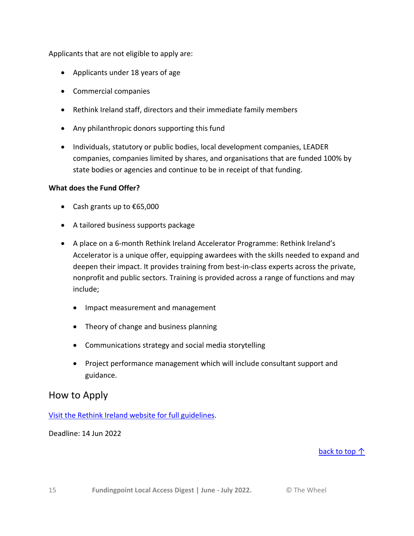Applicants that are not eligible to apply are:

- Applicants under 18 years of age
- Commercial companies
- Rethink Ireland staff, directors and their immediate family members
- Any philanthropic donors supporting this fund
- Individuals, statutory or public bodies, local development companies, LEADER companies, companies limited by shares, and organisations that are funded 100% by state bodies or agencies and continue to be in receipt of that funding.

#### **What does the Fund Offer?**

- Cash grants up to €65,000
- A tailored business supports package
- A place on a 6-month Rethink Ireland Accelerator Programme: Rethink Ireland's Accelerator is a unique offer, equipping awardees with the skills needed to expand and deepen their impact. It provides training from best-in-class experts across the private, nonprofit and public sectors. Training is provided across a range of functions and may include;
	- Impact measurement and management
	- Theory of change and business planning
	- Communications strategy and social media storytelling
	- Project performance management which will include consultant support and guidance.

#### How to Apply

[Visit the Rethink Ireland website for full guidelines.](https://rethinkireland.ie/current_fund/impact-fund-for-munster-2022/)

Deadline: 14 Jun 2022

#### back to top  $\uparrow$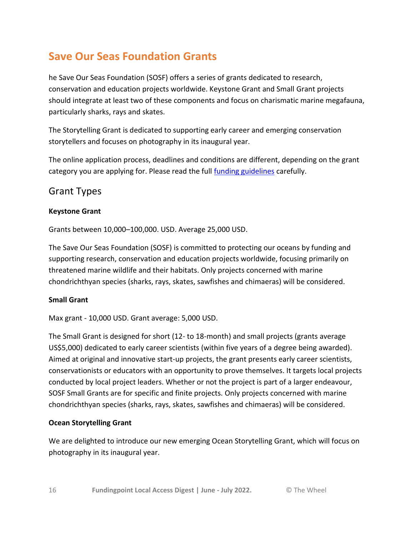## <span id="page-15-0"></span>**Save Our Seas Foundation Grants**

he Save Our Seas Foundation (SOSF) offers a series of grants dedicated to research, conservation and education projects worldwide. Keystone Grant and Small Grant projects should integrate at least two of these components and focus on charismatic marine megafauna, particularly sharks, rays and skates.

The Storytelling Grant is dedicated to supporting early career and emerging conservation storytellers and focuses on photography in its inaugural year.

The online application process, deadlines and conditions are different, depending on the grant category you are applying for. Please read the full [funding guidelines](https://saveourseas.com/grants/funding-guidelines-2/) carefully.

### Grant Types

#### **Keystone Grant**

Grants between 10,000–100,000. USD. Average 25,000 USD.

The Save Our Seas Foundation (SOSF) is committed to protecting our oceans by funding and supporting research, conservation and education projects worldwide, focusing primarily on threatened marine wildlife and their habitats. Only projects concerned with marine chondrichthyan species (sharks, rays, skates, sawfishes and chimaeras) will be considered.

#### **Small Grant**

Max grant - 10,000 USD. Grant average: 5,000 USD.

The Small Grant is designed for short (12- to 18-month) and small projects (grants average US\$5,000) dedicated to early career scientists (within five years of a degree being awarded). Aimed at original and innovative start-up projects, the grant presents early career scientists, conservationists or educators with an opportunity to prove themselves. It targets local projects conducted by local project leaders. Whether or not the project is part of a larger endeavour, SOSF Small Grants are for specific and finite projects. Only projects concerned with marine chondrichthyan species (sharks, rays, skates, sawfishes and chimaeras) will be considered.

#### **Ocean Storytelling Grant**

We are delighted to introduce our new emerging Ocean Storytelling Grant, which will focus on photography in its inaugural year.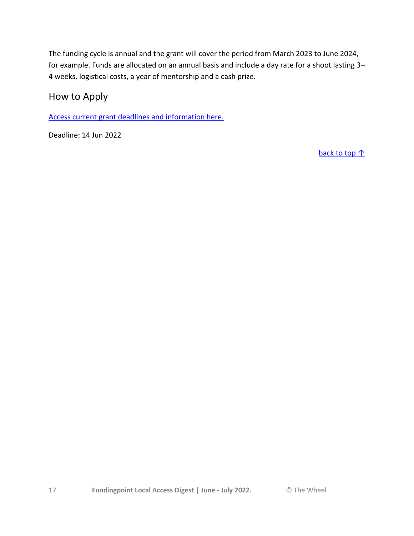The funding cycle is annual and the grant will cover the period from March 2023 to June 2024, for example. Funds are allocated on an annual basis and include a day rate for a shoot lasting 3– 4 weeks, logistical costs, a year of mentorship and a cash prize.

How to Apply

[Access current grant deadlines and information here.](https://saveourseas.com/grants/funding-applications/)

Deadline: 14 Jun 2022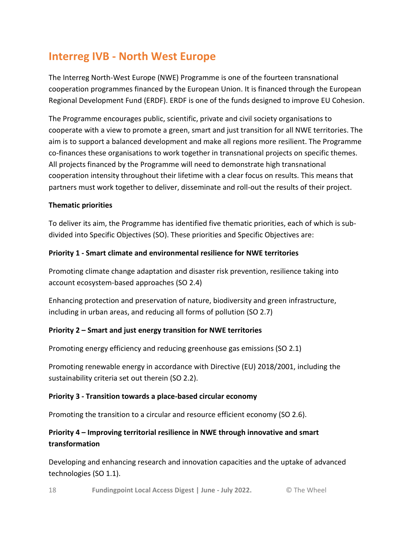## <span id="page-17-0"></span>**Interreg IVB - North West Europe**

The Interreg North-West Europe (NWE) Programme is one of the fourteen transnational cooperation programmes financed by the European Union. It is financed through the European Regional Development Fund (ERDF). ERDF is one of the funds designed to improve EU Cohesion.

The Programme encourages public, scientific, private and civil society organisations to cooperate with a view to promote a green, smart and just transition for all NWE territories. The aim is to support a balanced development and make all regions more resilient. The Programme co-finances these organisations to work together in transnational projects on specific themes. All projects financed by the Programme will need to demonstrate high transnational cooperation intensity throughout their lifetime with a clear focus on results. This means that partners must work together to deliver, disseminate and roll-out the results of their project.

#### **Thematic priorities**

To deliver its aim, the Programme has identified five thematic priorities, each of which is subdivided into Specific Objectives (SO). These priorities and Specific Objectives are:

#### **Priority 1 - Smart climate and environmental resilience for NWE territories**

Promoting climate change adaptation and disaster risk prevention, resilience taking into account ecosystem-based approaches (SO 2.4)

Enhancing protection and preservation of nature, biodiversity and green infrastructure, including in urban areas, and reducing all forms of pollution (SO 2.7)

#### **Priority 2 – Smart and just energy transition for NWE territories**

Promoting energy efficiency and reducing greenhouse gas emissions (SO 2.1)

Promoting renewable energy in accordance with Directive (EU) 2018/2001, including the sustainability criteria set out therein (SO 2.2).

#### **Priority 3 - Transition towards a place-based circular economy**

Promoting the transition to a circular and resource efficient economy (SO 2.6).

#### **Priority 4 – Improving territorial resilience in NWE through innovative and smart transformation**

Developing and enhancing research and innovation capacities and the uptake of advanced technologies (SO 1.1).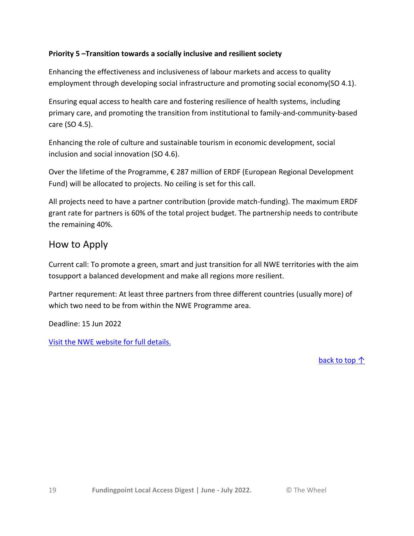#### **Priority 5 –Transition towards a socially inclusive and resilient society**

Enhancing the effectiveness and inclusiveness of labour markets and access to quality employment through developing social infrastructure and promoting social economy(SO 4.1).

Ensuring equal access to health care and fostering resilience of health systems, including primary care, and promoting the transition from institutional to family-and-community-based care (SO 4.5).

Enhancing the role of culture and sustainable tourism in economic development, social inclusion and social innovation (SO 4.6).

Over the lifetime of the Programme, € 287 million of ERDF (European Regional Development Fund) will be allocated to projects. No ceiling is set for this call.

All projects need to have a partner contribution (provide match-funding). The maximum ERDF grant rate for partners is 60% of the total project budget. The partnership needs to contribute the remaining 40%.

### How to Apply

Current call: To promote a green, smart and just transition for all NWE territories with the aim tosupport a balanced development and make all regions more resilient.

Partner requrement: At least three partners from three different countries (usually more) of which two need to be from within the NWE Programme area.

Deadline: 15 Jun 2022

[Visit the NWE website for full details.](https://www.nweurope.eu/news-events/latest-news/interreg-nwe-2021-2027-call-1/)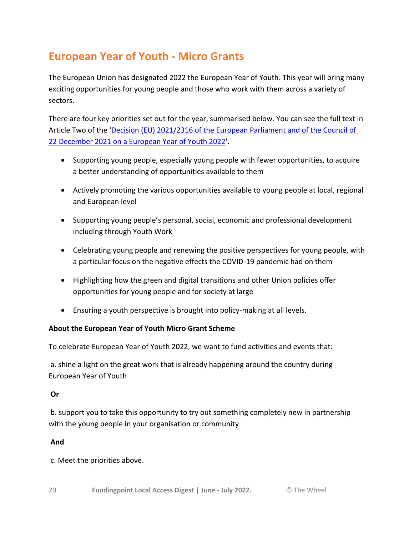## <span id="page-19-0"></span>**European Year of Youth - Micro Grants**

The European Union has designated 2022 the European Year of Youth. This year will bring many exciting opportunities for young people and those who work with them across a variety of sectors.

There are four key priorities set out for the year, summarised below. You can see the full text in Article Two of the '[Decision \(EU\) 2021/2316 of the European Parliament and of the Council of](https://eur-lex.europa.eu/legal-content/EN/TXT/HTML/?uri=CELEX:32021D2316&from=EN)  [22 December 2021 on a European Year of Youth 2022'](https://eur-lex.europa.eu/legal-content/EN/TXT/HTML/?uri=CELEX:32021D2316&from=EN).

- Supporting young people, especially young people with fewer opportunities, to acquire a better understanding of opportunities available to them
- Actively promoting the various opportunities available to young people at local, regional and European level
- Supporting young people's personal, social, economic and professional development including through Youth Work
- Celebrating young people and renewing the positive perspectives for young people, with a particular focus on the negative effects the COVID-19 pandemic had on them
- Highlighting how the green and digital transitions and other Union policies offer opportunities for young people and for society at large
- Ensuring a youth perspective is brought into policy-making at all levels.

#### **About the European Year of Youth Micro Grant Scheme**

To celebrate European Year of Youth 2022, we want to fund activities and events that:

a. shine a light on the great work that is already happening around the country during European Year of Youth

#### **Or**

b. support you to take this opportunity to try out something completely new in partnership with the young people in your organisation or community

#### **And**

c. Meet the priorities above.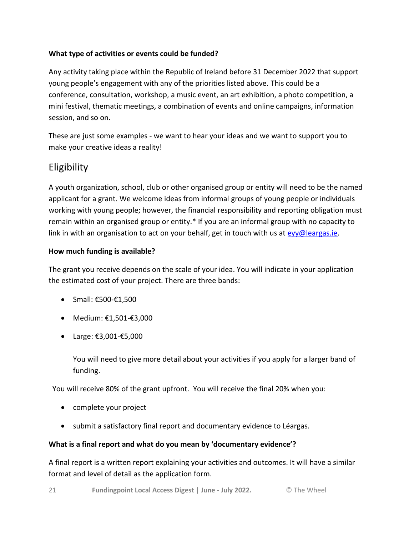#### **What type of activities or events could be funded?**

Any activity taking place within the Republic of Ireland before 31 December 2022 that support young people's engagement with any of the priorities listed above. This could be a conference, consultation, workshop, a music event, an art exhibition, a photo competition, a mini festival, thematic meetings, a combination of events and online campaigns, information session, and so on.

These are just some examples - we want to hear your ideas and we want to support you to make your creative ideas a reality!

### **Eligibility**

A youth organization, school, club or other organised group or entity will need to be the named applicant for a grant. We welcome ideas from informal groups of young people or individuals working with young people; however, the financial responsibility and reporting obligation must remain within an organised group or entity.\* If you are an informal group with no capacity to link in with an organisation to act on your behalf, get in touch with us at  $evy@leargas.ie.$ 

#### **How much funding is available?**

The grant you receive depends on the scale of your idea. You will indicate in your application the estimated cost of your project. There are three bands:

- $\bullet$  Small: €500-€1,500
- Medium: €1,501-€3,000
- Large: €3,001-€5,000

You will need to give more detail about your activities if you apply for a larger band of funding.

You will receive 80% of the grant upfront. You will receive the final 20% when you:

- complete your project
- submit a satisfactory final report and documentary evidence to Léargas.

#### **What is a final report and what do you mean by 'documentary evidence'?**

A final report is a written report explaining your activities and outcomes. It will have a similar format and level of detail as the application form.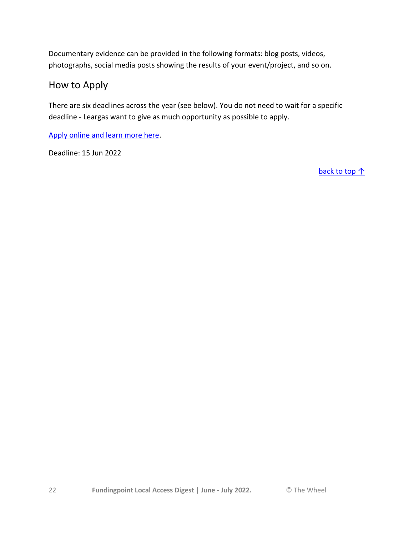Documentary evidence can be provided in the following formats: blog posts, videos, photographs, social media posts showing the results of your event/project, and so on.

### How to Apply

There are six deadlines across the year (see below). You do not need to wait for a specific deadline - Leargas want to give as much opportunity as possible to apply.

[Apply online and learn more here.](https://insights.leargas.ie/european-year-of-youth-micro-grants-application-form-2022)

Deadline: 15 Jun 2022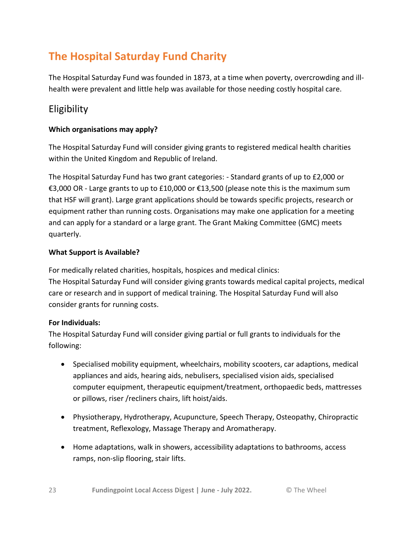## <span id="page-22-0"></span>**The Hospital Saturday Fund Charity**

The Hospital Saturday Fund was founded in 1873, at a time when poverty, overcrowding and illhealth were prevalent and little help was available for those needing costly hospital care.

### Eligibility

#### **Which organisations may apply?**

The Hospital Saturday Fund will consider giving grants to registered medical health charities within the United Kingdom and Republic of Ireland.

The Hospital Saturday Fund has two grant categories: - Standard grants of up to £2,000 or €3,000 OR - Large grants to up to £10,000 or €13,500 (please note this is the maximum sum that HSF will grant). Large grant applications should be towards specific projects, research or equipment rather than running costs. Organisations may make one application for a meeting and can apply for a standard or a large grant. The Grant Making Committee (GMC) meets quarterly.

#### **What Support is Available?**

For medically related charities, hospitals, hospices and medical clinics: The Hospital Saturday Fund will consider giving grants towards medical capital projects, medical care or research and in support of medical training. The Hospital Saturday Fund will also consider grants for running costs.

#### **For Individuals:**

The Hospital Saturday Fund will consider giving partial or full grants to individuals for the following:

- Specialised mobility equipment, wheelchairs, mobility scooters, car adaptions, medical appliances and aids, hearing aids, nebulisers, specialised vision aids, specialised computer equipment, therapeutic equipment/treatment, orthopaedic beds, mattresses or pillows, riser /recliners chairs, lift hoist/aids.
- Physiotherapy, Hydrotherapy, Acupuncture, Speech Therapy, Osteopathy, Chiropractic treatment, Reflexology, Massage Therapy and Aromatherapy.
- Home adaptations, walk in showers, accessibility adaptations to bathrooms, access ramps, non-slip flooring, stair lifts.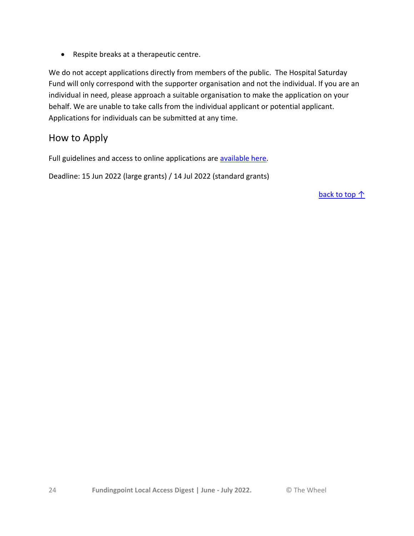Respite breaks at a therapeutic centre.

We do not accept applications directly from members of the public. The Hospital Saturday Fund will only correspond with the supporter organisation and not the individual. If you are an individual in need, please approach a suitable organisation to make the application on your behalf. We are unable to take calls from the individual applicant or potential applicant. Applications for individuals can be submitted at any time.

### How to Apply

Full guidelines and access to online applications are [available here.](https://hospitalsaturdayfund.org/apply-for-a-grant/#1560017195992-cf4b9003-7ebc)

Deadline: 15 Jun 2022 (large grants) / 14 Jul 2022 (standard grants)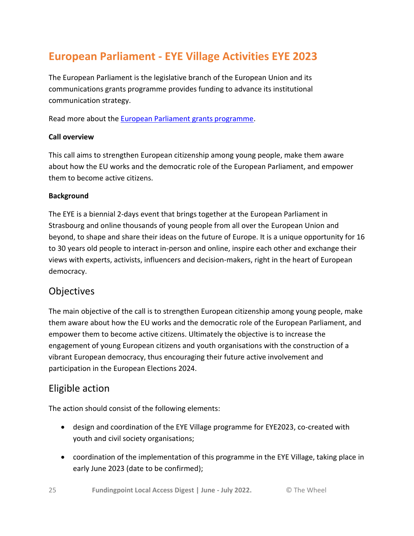## <span id="page-24-0"></span>**European Parliament - EYE Village Activities EYE 2023**

The European Parliament is the legislative branch of the European Union and its communications grants programme provides funding to advance its institutional communication strategy.

Read more about the [European Parliament grants programme.](https://www.accesseurope.ie/funding-guides/european-parliament-ep)

#### **Call overview**

This call aims to strengthen European citizenship among young people, make them aware about how the EU works and the democratic role of the European Parliament, and empower them to become active citizens.

#### **Background**

The EYE is a biennial 2-days event that brings together at the European Parliament in Strasbourg and online thousands of young people from all over the European Union and beyond, to shape and share their ideas on the future of Europe. It is a unique opportunity for 16 to 30 years old people to interact in-person and online, inspire each other and exchange their views with experts, activists, influencers and decision-makers, right in the heart of European democracy.

### **Objectives**

The main objective of the call is to strengthen European citizenship among young people, make them aware about how the EU works and the democratic role of the European Parliament, and empower them to become active citizens. Ultimately the objective is to increase the engagement of young European citizens and youth organisations with the construction of a vibrant European democracy, thus encouraging their future active involvement and participation in the European Elections 2024.

### Eligible action

The action should consist of the following elements:

- design and coordination of the EYE Village programme for EYE2023, co-created with youth and civil society organisations;
- coordination of the implementation of this programme in the EYE Village, taking place in early June 2023 (date to be confirmed);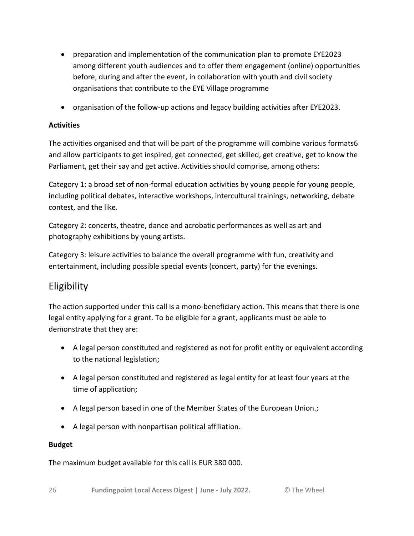- preparation and implementation of the communication plan to promote EYE2023 among different youth audiences and to offer them engagement (online) opportunities before, during and after the event, in collaboration with youth and civil society organisations that contribute to the EYE Village programme
- organisation of the follow-up actions and legacy building activities after EYE2023.

#### **Activities**

The activities organised and that will be part of the programme will combine various formats6 and allow participants to get inspired, get connected, get skilled, get creative, get to know the Parliament, get their say and get active. Activities should comprise, among others:

Category 1: a broad set of non-formal education activities by young people for young people, including political debates, interactive workshops, intercultural trainings, networking, debate contest, and the like.

Category 2: concerts, theatre, dance and acrobatic performances as well as art and photography exhibitions by young artists.

Category 3: leisure activities to balance the overall programme with fun, creativity and entertainment, including possible special events (concert, party) for the evenings.

### Eligibility

The action supported under this call is a mono-beneficiary action. This means that there is one legal entity applying for a grant. To be eligible for a grant, applicants must be able to demonstrate that they are:

- A legal person constituted and registered as not for profit entity or equivalent according to the national legislation;
- A legal person constituted and registered as legal entity for at least four years at the time of application;
- A legal person based in one of the Member States of the European Union.;
- A legal person with nonpartisan political affiliation.

#### **Budget**

The maximum budget available for this call is EUR 380 000.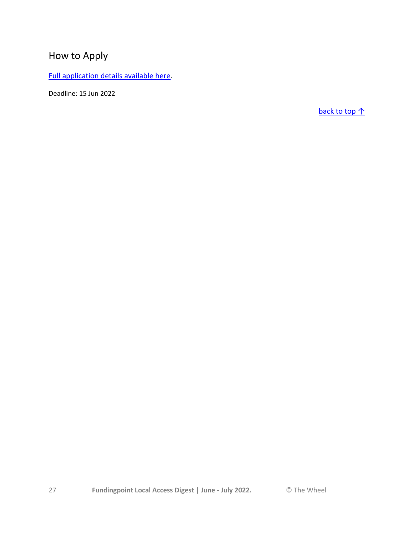## How to Apply

[Full application details available here.](https://ec.europa.eu/info/funding-tenders/opportunities/portal/screen/opportunities/topic-details/ep-comm-subv-2023-eye-outdoor-activities;callCode=null;freeTextSearchKeyword=;matchWholeText=true;typeCodes=1,0;statusCodes=31094501,31094502;programmePeriod=2021%20-%202027;programCcm2Id=43697167;programDivisionCode=null;focusAreaCode=null;destination=null;mission=null;geographicalZonesCode=null;programmeDivisionProspect=null;startDateLte=null;startDateGte=null;crossCuttingPriorityCode=null;cpvCode=null;performanceOfDelivery=null;sortQuery=sortStatus;orderBy=asc;onlyTenders=false;topicListKey=topicSearchTablePageState)

Deadline: 15 Jun 2022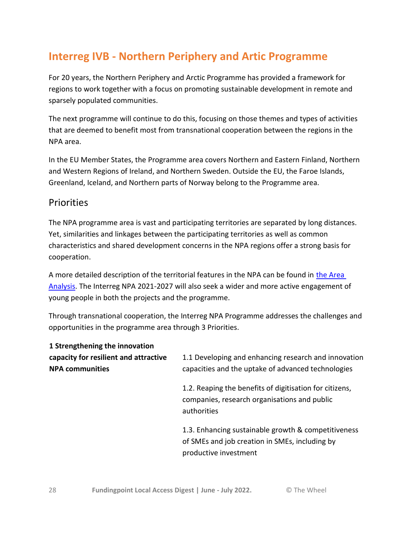## <span id="page-27-0"></span>**Interreg IVB - Northern Periphery and Artic Programme**

For 20 years, the Northern Periphery and Arctic Programme has provided a framework for regions to work together with a focus on promoting sustainable development in remote and sparsely populated communities.

The next programme will continue to do this, focusing on those themes and types of activities that are deemed to benefit most from transnational cooperation between the regions in the NPA area.

In the EU Member States, the Programme area covers Northern and Eastern Finland, Northern and Western Regions of Ireland, and Northern Sweden. Outside the EU, the Faroe Islands, Greenland, Iceland, and Northern parts of Norway belong to the Programme area.

#### **Priorities**

The NPA programme area is vast and participating territories are separated by long distances. Yet, similarities and linkages between the participating territories as well as common characteristics and shared development concerns in the NPA regions offer a strong basis for cooperation.

A more detailed description of the territorial features in the NPA can be found in the Area [Analysis.](https://www.interreg-npa.eu/fileadmin/NPA2021-2027/EPRC_NPA_Area_analysis_24_March.pdf) The Interreg NPA 2021-2027 will also seek a wider and more active engagement of young people in both the projects and the programme.

Through transnational cooperation, the Interreg NPA Programme addresses the challenges and opportunities in the programme area through 3 Priorities.

| 1 Strengthening the innovation<br>capacity for resilient and attractive<br><b>NPA communities</b> | 1.1 Developing and enhancing research and innovation<br>capacities and the uptake of advanced technologies                     |  |
|---------------------------------------------------------------------------------------------------|--------------------------------------------------------------------------------------------------------------------------------|--|
|                                                                                                   | 1.2. Reaping the benefits of digitisation for citizens,<br>companies, research organisations and public<br>authorities         |  |
|                                                                                                   | 1.3. Enhancing sustainable growth & competitiveness<br>of SMEs and job creation in SMEs, including by<br>productive investment |  |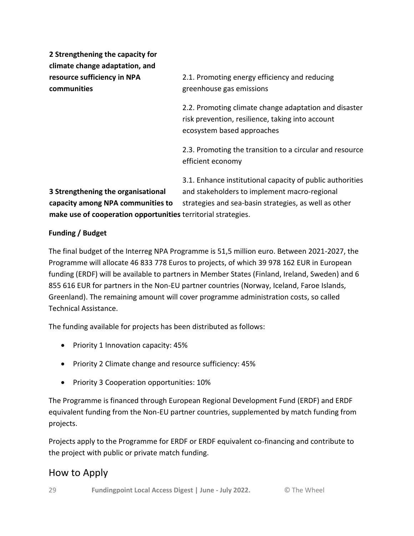**2 Strengthening the capacity for climate change adaptation, and resource sufficiency in NPA communities**

2.1. Promoting energy efficiency and reducing greenhouse gas emissions

2.2. Promoting climate change adaptation and disaster risk prevention, resilience, taking into account ecosystem based approaches

2.3. Promoting the transition to a circular and resource efficient economy

**3 Strengthening the organisational capacity among NPA communities to make use of cooperation opportunities** territorial strategies. 3.1. Enhance institutional capacity of public authorities and stakeholders to implement macro-regional strategies and sea-basin strategies, as well as other

#### **Funding / Budget**

The final budget of the Interreg NPA Programme is 51,5 million euro. Between 2021-2027, the Programme will allocate 46 833 778 Euros to projects, of which 39 978 162 EUR in European funding (ERDF) will be available to partners in Member States (Finland, Ireland, Sweden) and 6 855 616 EUR for partners in the Non-EU partner countries (Norway, Iceland, Faroe Islands, Greenland). The remaining amount will cover programme administration costs, so called Technical Assistance.

The funding available for projects has been distributed as follows:

- Priority 1 Innovation capacity: 45%
- Priority 2 Climate change and resource sufficiency: 45%
- Priority 3 Cooperation opportunities: 10%

The Programme is financed through European Regional Development Fund (ERDF) and ERDF equivalent funding from the Non-EU partner countries, supplemented by match funding from projects.

Projects apply to the Programme for ERDF or ERDF equivalent co-financing and contribute to the project with public or private match funding.

### How to Apply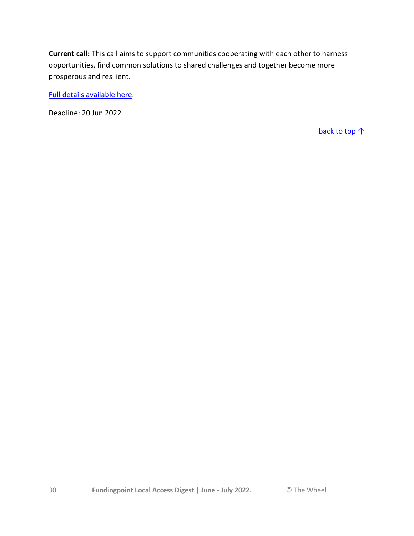**Current call:** This call aims to support communities cooperating with each other to harness opportunities, find common solutions to shared challenges and together become more prosperous and resilient.

[Full details available here.](https://www.interreg-npa.eu/)

Deadline: 20 Jun 2022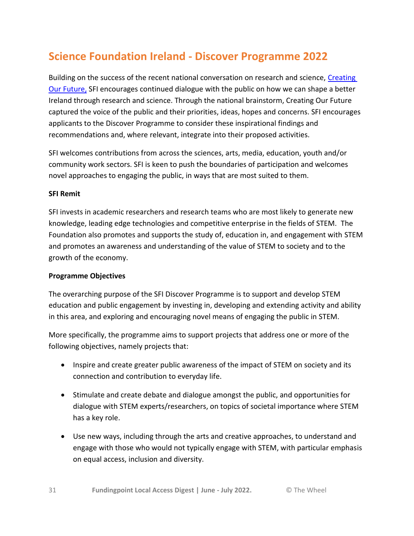## <span id="page-30-0"></span>**Science Foundation Ireland - Discover Programme 2022**

Building on the success of the recent national conversation on research and science, [Creating](https://creatingourfuture.ie/)  Our [Future,](https://creatingourfuture.ie/) SFI encourages continued dialogue with the public on how we can shape a better Ireland through research and science. Through the national brainstorm, Creating Our Future captured the voice of the public and their priorities, ideas, hopes and concerns. SFI encourages applicants to the Discover Programme to consider these inspirational findings and recommendations and, where relevant, integrate into their proposed activities.

SFI welcomes contributions from across the sciences, arts, media, education, youth and/or community work sectors. SFI is keen to push the boundaries of participation and welcomes novel approaches to engaging the public, in ways that are most suited to them.

#### **SFI Remit**

SFI invests in academic researchers and research teams who are most likely to generate new knowledge, leading edge technologies and competitive enterprise in the fields of STEM. The Foundation also promotes and supports the study of, education in, and engagement with STEM and promotes an awareness and understanding of the value of STEM to society and to the growth of the economy.

#### **Programme Objectives**

The overarching purpose of the SFI Discover Programme is to support and develop STEM education and public engagement by investing in, developing and extending activity and ability in this area, and exploring and encouraging novel means of engaging the public in STEM.

More specifically, the programme aims to support projects that address one or more of the following objectives, namely projects that:

- Inspire and create greater public awareness of the impact of STEM on society and its connection and contribution to everyday life.
- Stimulate and create debate and dialogue amongst the public, and opportunities for dialogue with STEM experts/researchers, on topics of societal importance where STEM has a key role.
- Use new ways, including through the arts and creative approaches, to understand and engage with those who would not typically engage with STEM, with particular emphasis on equal access, inclusion and diversity.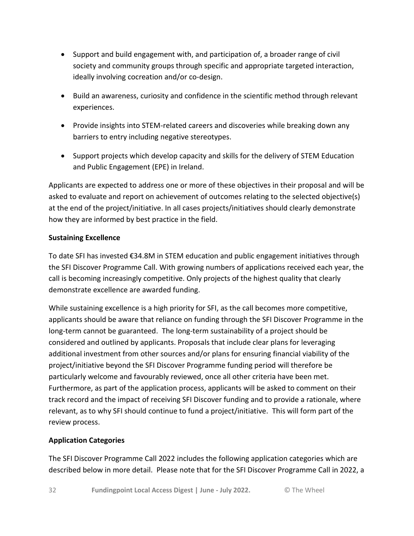- Support and build engagement with, and participation of, a broader range of civil society and community groups through specific and appropriate targeted interaction, ideally involving cocreation and/or co-design.
- Build an awareness, curiosity and confidence in the scientific method through relevant experiences.
- Provide insights into STEM-related careers and discoveries while breaking down any barriers to entry including negative stereotypes.
- Support projects which develop capacity and skills for the delivery of STEM Education and Public Engagement (EPE) in Ireland.

Applicants are expected to address one or more of these objectives in their proposal and will be asked to evaluate and report on achievement of outcomes relating to the selected objective(s) at the end of the project/initiative. In all cases projects/initiatives should clearly demonstrate how they are informed by best practice in the field.

#### **Sustaining Excellence**

To date SFI has invested €34.8M in STEM education and public engagement initiatives through the SFI Discover Programme Call. With growing numbers of applications received each year, the call is becoming increasingly competitive. Only projects of the highest quality that clearly demonstrate excellence are awarded funding.

While sustaining excellence is a high priority for SFI, as the call becomes more competitive, applicants should be aware that reliance on funding through the SFI Discover Programme in the long-term cannot be guaranteed. The long-term sustainability of a project should be considered and outlined by applicants. Proposals that include clear plans for leveraging additional investment from other sources and/or plans for ensuring financial viability of the project/initiative beyond the SFI Discover Programme funding period will therefore be particularly welcome and favourably reviewed, once all other criteria have been met. Furthermore, as part of the application process, applicants will be asked to comment on their track record and the impact of receiving SFI Discover funding and to provide a rationale, where relevant, as to why SFI should continue to fund a project/initiative. This will form part of the review process.

#### **Application Categories**

The SFI Discover Programme Call 2022 includes the following application categories which are described below in more detail. Please note that for the SFI Discover Programme Call in 2022, a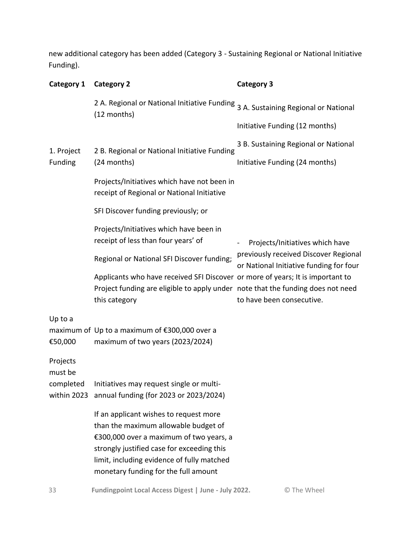new additional category has been added (Category 3 - Sustaining Regional or National Initiative Funding).

| Category 1                   | <b>Category 2</b>                                                                                                                                                                                                                                             | <b>Category 3</b>                                                                |  |
|------------------------------|---------------------------------------------------------------------------------------------------------------------------------------------------------------------------------------------------------------------------------------------------------------|----------------------------------------------------------------------------------|--|
|                              | 2 A. Regional or National Initiative Funding<br>(12 months)                                                                                                                                                                                                   | 3 A. Sustaining Regional or National                                             |  |
|                              |                                                                                                                                                                                                                                                               | Initiative Funding (12 months)                                                   |  |
| 1. Project<br><b>Funding</b> | 2 B. Regional or National Initiative Funding<br>(24 months)                                                                                                                                                                                                   | 3 B. Sustaining Regional or National                                             |  |
|                              |                                                                                                                                                                                                                                                               | Initiative Funding (24 months)                                                   |  |
|                              | Projects/Initiatives which have not been in<br>receipt of Regional or National Initiative                                                                                                                                                                     |                                                                                  |  |
|                              | SFI Discover funding previously; or                                                                                                                                                                                                                           |                                                                                  |  |
|                              | Projects/Initiatives which have been in<br>receipt of less than four years' of                                                                                                                                                                                | Projects/Initiatives which have                                                  |  |
|                              | Regional or National SFI Discover funding;                                                                                                                                                                                                                    | previously received Discover Regional<br>or National Initiative funding for four |  |
|                              | Applicants who have received SFI Discover or more of years; It is important to<br>Project funding are eligible to apply under note that the funding does not need                                                                                             |                                                                                  |  |
|                              | this category                                                                                                                                                                                                                                                 | to have been consecutive.                                                        |  |
| Up to a<br>€50,000           | maximum of Up to a maximum of €300,000 over a<br>maximum of two years (2023/2024)                                                                                                                                                                             |                                                                                  |  |
| Projects<br>must be          |                                                                                                                                                                                                                                                               |                                                                                  |  |
| completed<br>within 2023     | Initiatives may request single or multi-<br>annual funding (for 2023 or 2023/2024)                                                                                                                                                                            |                                                                                  |  |
|                              | If an applicant wishes to request more<br>than the maximum allowable budget of<br>€300,000 over a maximum of two years, a<br>strongly justified case for exceeding this<br>limit, including evidence of fully matched<br>monetary funding for the full amount |                                                                                  |  |

33 **Fundingpoint Local Access Digest | June - July 2022.** © The Wheel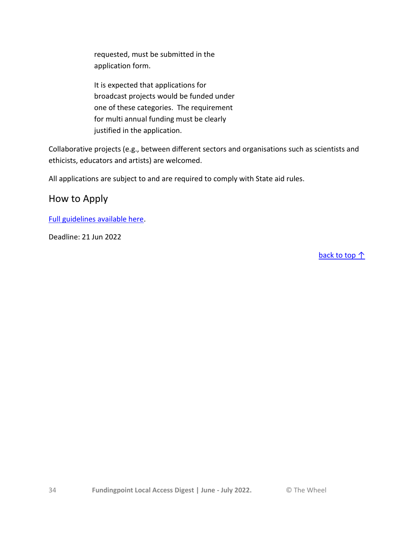requested, must be submitted in the application form.

It is expected that applications for broadcast projects would be funded under one of these categories. The requirement for multi annual funding must be clearly justified in the application.

Collaborative projects (e.g., between different sectors and organisations such as scientists and ethicists, educators and artists) are welcomed.

All applications are subject to and are required to comply with State aid rules.

How to Apply

[Full guidelines available here.](https://www.sfi.ie/funding/funding-calls/sfi-discover-programme/index.xml)

Deadline: 21 Jun 2022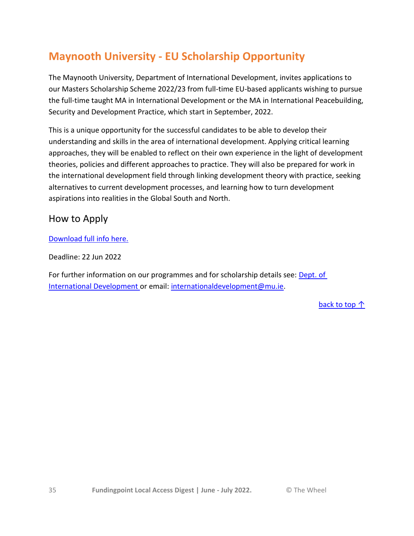## <span id="page-34-0"></span>**Maynooth University - EU Scholarship Opportunity**

The Maynooth University, Department of International Development, invites applications to our Masters Scholarship Scheme 2022/23 from full-time EU-based applicants wishing to pursue the full-time taught MA in International Development or the MA in International Peacebuilding, Security and Development Practice, which start in September, 2022.

This is a unique opportunity for the successful candidates to be able to develop their understanding and skills in the area of international development. Applying critical learning approaches, they will be enabled to reflect on their own experience in the light of development theories, policies and different approaches to practice. They will also be prepared for work in the international development field through linking development theory with practice, seeking alternatives to current development processes, and learning how to turn development aspirations into realities in the Global South and North.

### How to Apply

[Download full info here.](https://www.activelink.ie/sites/default/files/attach/notice-entry/2022/04/20/EU%20Student%20Scholarship%202022%20-%202023.pdf)

Deadline: 22 Jun 2022

For further information on our programmes and for scholarship details see: Dept. of [International Development](https://www.maynoothuniversity.ie/international-development/master-s-eu-student-scholarship-scheme-202223) or email: [internationaldevelopment@mu.ie.](mailto:internationaldevelopment@mu.ie)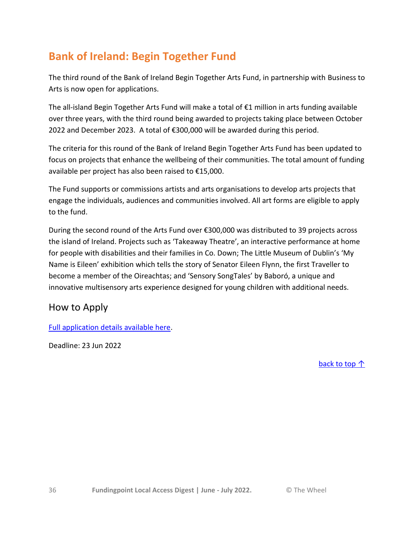## <span id="page-35-0"></span>**Bank of Ireland: Begin Together Fund**

The third round of the Bank of Ireland Begin Together Arts Fund, in partnership with Business to Arts is now open for applications.

The all-island Begin Together Arts Fund will make a total of €1 million in arts funding available over three years, with the third round being awarded to projects taking place between October 2022 and December 2023. A total of €300,000 will be awarded during this period.

The criteria for this round of the Bank of Ireland Begin Together Arts Fund has been updated to focus on projects that enhance the wellbeing of their communities. The total amount of funding available per project has also been raised to €15,000.

The Fund supports or commissions artists and arts organisations to develop arts projects that engage the individuals, audiences and communities involved. All art forms are eligible to apply to the fund.

During the second round of the Arts Fund over €300,000 was distributed to 39 projects across the island of Ireland. Projects such as 'Takeaway Theatre', an interactive performance at home for people with disabilities and their families in Co. Down; The Little Museum of Dublin's 'My Name is Eileen' exhibition which tells the story of Senator Eileen Flynn, the first Traveller to become a member of the Oireachtas; and 'Sensory SongTales' by Baboró, a unique and innovative multisensory arts experience designed for young children with additional needs.

### How to Apply

[Full application details available here.](https://www.businesstoarts.ie/artsfund/bank-of-ireland/)

Deadline: 23 Jun 2022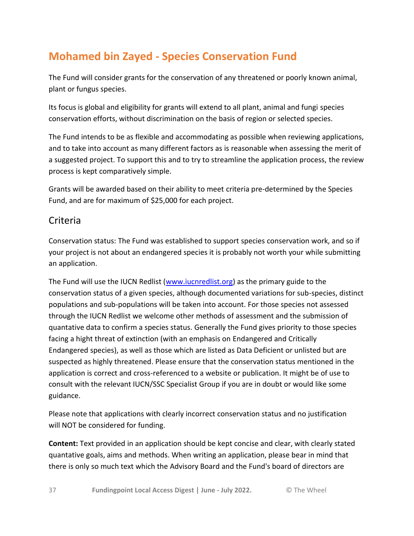## <span id="page-36-0"></span>**Mohamed bin Zayed - Species Conservation Fund**

The Fund will consider grants for the conservation of any threatened or poorly known animal, plant or fungus species.

Its focus is global and eligibility for grants will extend to all plant, animal and fungi species conservation efforts, without discrimination on the basis of region or selected species.

The Fund intends to be as flexible and accommodating as possible when reviewing applications, and to take into account as many different factors as is reasonable when assessing the merit of a suggested project. To support this and to try to streamline the application process, the review process is kept comparatively simple.

Grants will be awarded based on their ability to meet criteria pre-determined by the Species Fund, and are for maximum of \$25,000 for each project.

### Criteria

Conservation status: The Fund was established to support species conservation work, and so if your project is not about an endangered species it is probably not worth your while submitting an application.

The Fund will use the IUCN Redlist [\(www.iucnredlist.org\)](http://www.iucnredlist.org/) as the primary guide to the conservation status of a given species, although documented variations for sub-species, distinct populations and sub-populations will be taken into account. For those species not assessed through the IUCN Redlist we welcome other methods of assessment and the submission of quantative data to confirm a species status. Generally the Fund gives priority to those species facing a hight threat of extinction (with an emphasis on Endangered and Critically Endangered species), as well as those which are listed as Data Deficient or unlisted but are suspected as highly threatened. Please ensure that the conservation status mentioned in the application is correct and cross-referenced to a website or publication. It might be of use to consult with the relevant IUCN/SSC Specialist Group if you are in doubt or would like some guidance.

Please note that applications with clearly incorrect conservation status and no justification will NOT be considered for funding.

**Content:** Text provided in an application should be kept concise and clear, with clearly stated quantative goals, aims and methods. When writing an application, please bear in mind that there is only so much text which the Advisory Board and the Fund's board of directors are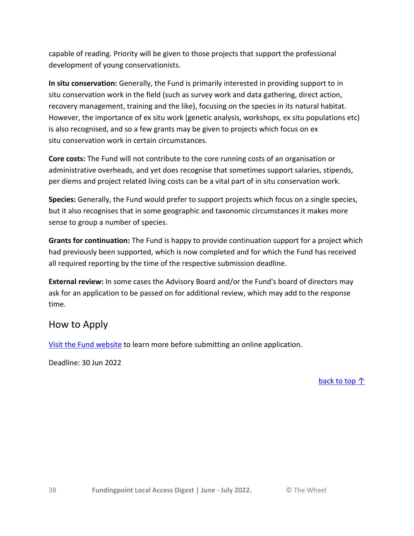capable of reading. Priority will be given to those projects that support the professional development of young conservationists.

**In situ conservation:** Generally, the Fund is primarily interested in providing support to in situ conservation work in the field (such as survey work and data gathering, direct action, recovery management, training and the like), focusing on the species in its natural habitat. However, the importance of ex situ work (genetic analysis, workshops, ex situ populations etc) is also recognised, and so a few grants may be given to projects which focus on ex situ conservation work in certain circumstances.

**Core costs:** The Fund will not contribute to the core running costs of an organisation or administrative overheads, and yet does recognise that sometimes support salaries, stipends, per diems and project related living costs can be a vital part of in situ conservation work.

**Species:** Generally, the Fund would prefer to support projects which focus on a single species, but it also recognises that in some geographic and taxonomic circumstances it makes more sense to group a number of species.

**Grants for continuation:** The Fund is happy to provide continuation support for a project which had previously been supported, which is now completed and for which the Fund has received all required reporting by the time of the respective submission deadline.

**External review:** In some cases the Advisory Board and/or the Fund's board of directors may ask for an application to be passed on for additional review, which may add to the response time.

### How to Apply

[Visit the Fund website](https://www.speciesconservation.org/grants/criteria) to learn more before submitting an online application.

Deadline: 30 Jun 2022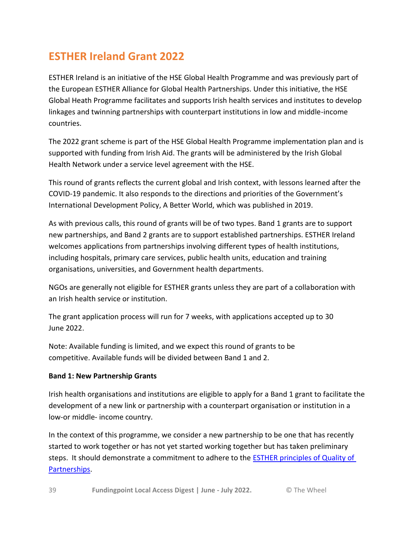## <span id="page-38-0"></span>**ESTHER Ireland Grant 2022**

ESTHER Ireland is an initiative of the HSE Global Health Programme and was previously part of the European ESTHER Alliance for Global Health Partnerships. Under this initiative, the HSE Global Heath Programme facilitates and supports Irish health services and institutes to develop linkages and twinning partnerships with counterpart institutions in low and middle-income countries.

The 2022 grant scheme is part of the HSE Global Health Programme implementation plan and is supported with funding from Irish Aid. The grants will be administered by the Irish Global Health Network under a service level agreement with the HSE.

This round of grants reflects the current global and Irish context, with lessons learned after the COVID-19 pandemic. It also responds to the directions and priorities of the Government's International Development Policy, A Better World, which was published in 2019.

As with previous calls, this round of grants will be of two types. Band 1 grants are to support new partnerships, and Band 2 grants are to support established partnerships. ESTHER Ireland welcomes applications from partnerships involving different types of health institutions, including hospitals, primary care services, public health units, education and training organisations, universities, and Government health departments.

NGOs are generally not eligible for ESTHER grants unless they are part of a collaboration with an Irish health service or institution.

The grant application process will run for 7 weeks, with applications accepted up to 30 June 2022.

Note: Available funding is limited, and we expect this round of grants to be competitive. Available funds will be divided between Band 1 and 2.

#### **Band 1: New Partnership Grants**

Irish health organisations and institutions are eligible to apply for a Band 1 grant to facilitate the development of a new link or partnership with a counterpart organisation or institution in a low-or middle- income country.

In the context of this programme, we consider a new partnership to be one that has recently started to work together or has not yet started working together but has taken preliminary steps. It should demonstrate a commitment to adhere to the [ESTHER principles of Quality of](https://www.esther.ie/wp-content/uploads/2022/04/ESTHER-ALLIANCE-CHARTER-1-2.pdf)  [Partnerships.](https://www.esther.ie/wp-content/uploads/2022/04/ESTHER-ALLIANCE-CHARTER-1-2.pdf)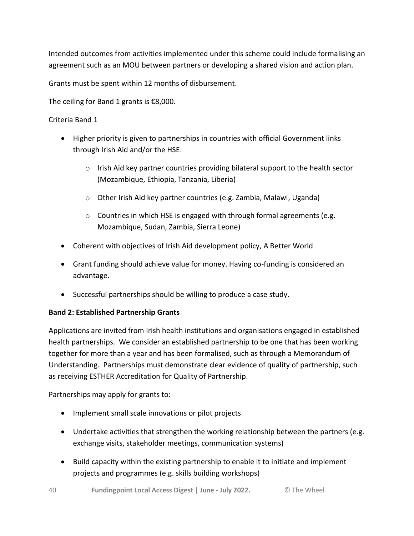Intended outcomes from activities implemented under this scheme could include formalising an agreement such as an MOU between partners or developing a shared vision and action plan.

Grants must be spent within 12 months of disbursement.

The ceiling for Band 1 grants is €8,000.

Criteria Band 1

- Higher priority is given to partnerships in countries with official Government links through Irish Aid and/or the HSE:
	- $\circ$  Irish Aid key partner countries providing bilateral support to the health sector (Mozambique, Ethiopia, Tanzania, Liberia)
	- o Other Irish Aid key partner countries (e.g. Zambia, Malawi, Uganda)
	- o Countries in which HSE is engaged with through formal agreements (e.g. Mozambique, Sudan, Zambia, Sierra Leone)
- Coherent with objectives of Irish Aid development policy, A Better World
- Grant funding should achieve value for money. Having co-funding is considered an advantage.
- Successful partnerships should be willing to produce a case study.

#### **Band 2: Established Partnership Grants**

Applications are invited from Irish health institutions and organisations engaged in established health partnerships. We consider an established partnership to be one that has been working together for more than a year and has been formalised, such as through a Memorandum of Understanding. Partnerships must demonstrate clear evidence of quality of partnership, such as receiving ESTHER Accreditation for Quality of Partnership.

Partnerships may apply for grants to:

- Implement small scale innovations or pilot projects
- Undertake activities that strengthen the working relationship between the partners (e.g. exchange visits, stakeholder meetings, communication systems)
- Build capacity within the existing partnership to enable it to initiate and implement projects and programmes (e.g. skills building workshops)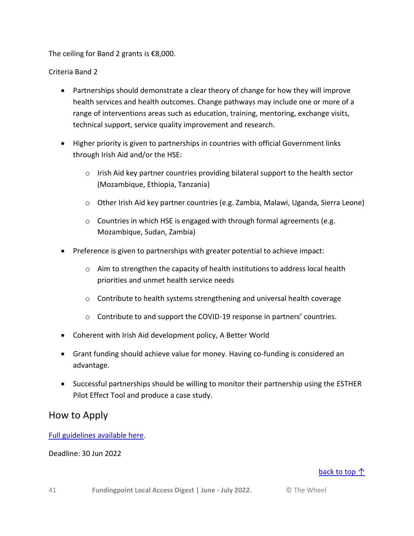The ceiling for Band 2 grants is €8,000.

Criteria Band 2

- Partnerships should demonstrate a clear theory of change for how they will improve health services and health outcomes. Change pathways may include one or more of a range of interventions areas such as education, training, mentoring, exchange visits, technical support, service quality improvement and research.
- Higher priority is given to partnerships in countries with official Government links through Irish Aid and/or the HSE:
	- $\circ$  Irish Aid key partner countries providing bilateral support to the health sector (Mozambique, Ethiopia, Tanzania)
	- o Other Irish Aid key partner countries (e.g. Zambia, Malawi, Uganda, Sierra Leone)
	- o Countries in which HSE is engaged with through formal agreements (e.g. Mozambique, Sudan, Zambia)
- Preference is given to partnerships with greater potential to achieve impact:
	- $\circ$  Aim to strengthen the capacity of health institutions to address local health priorities and unmet health service needs
	- $\circ$  Contribute to health systems strengthening and universal health coverage
	- o Contribute to and support the COVID-19 response in partners' countries.
- Coherent with Irish Aid development policy, A Better World
- Grant funding should achieve value for money. Having co-funding is considered an advantage.
- Successful partnerships should be willing to monitor their partnership using the ESTHER Pilot Effect Tool and produce a case study.

### How to Apply

[Full guidelines available here.](https://www.esther.ie/how-to-get-involved/esther-ireland-grants/)

#### Deadline: 30 Jun 2022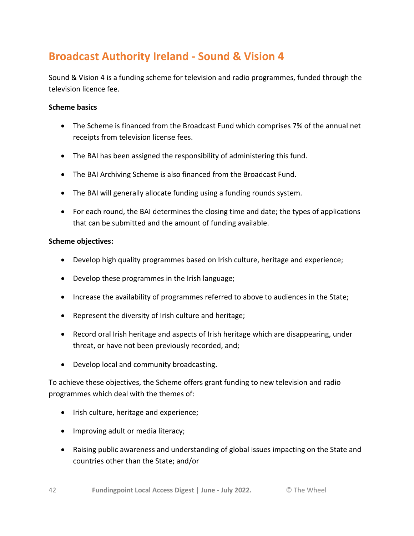## <span id="page-41-0"></span>**Broadcast Authority Ireland - Sound & Vision 4**

Sound & Vision 4 is a funding scheme for television and radio programmes, funded through the television licence fee.

#### **Scheme basics**

- The Scheme is financed from the Broadcast Fund which comprises 7% of the annual net receipts from television license fees.
- The BAI has been assigned the responsibility of administering this fund.
- The BAI Archiving Scheme is also financed from the Broadcast Fund.
- The BAI will generally allocate funding using a funding rounds system.
- For each round, the BAI determines the closing time and date; the types of applications that can be submitted and the amount of funding available.

#### **Scheme objectives:**

- Develop high quality programmes based on Irish culture, heritage and experience;
- Develop these programmes in the Irish language;
- Increase the availability of programmes referred to above to audiences in the State;
- Represent the diversity of Irish culture and heritage;
- Record oral Irish heritage and aspects of Irish heritage which are disappearing, under threat, or have not been previously recorded, and;
- Develop local and community broadcasting.

To achieve these objectives, the Scheme offers grant funding to new television and radio programmes which deal with the themes of:

- Irish culture, heritage and experience;
- Improving adult or media literacy;
- Raising public awareness and understanding of global issues impacting on the State and countries other than the State; and/or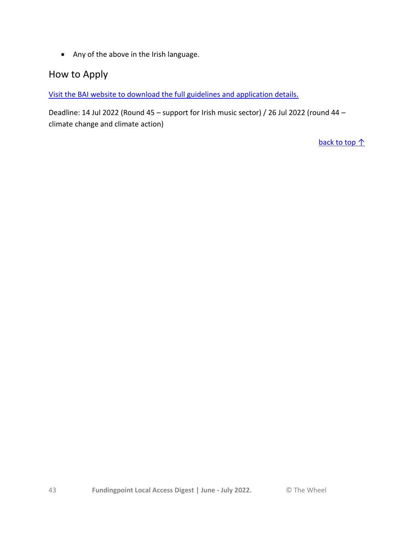Any of the above in the Irish language.

### How to Apply

[Visit the BAI website to download the full guidelines and application details.](https://www.bai.ie/en/broadcasting/funding-development-3/sound-vision-4/)

Deadline: 14 Jul 2022 (Round 45 – support for Irish music sector) / 26 Jul 2022 (round 44 – climate change and climate action)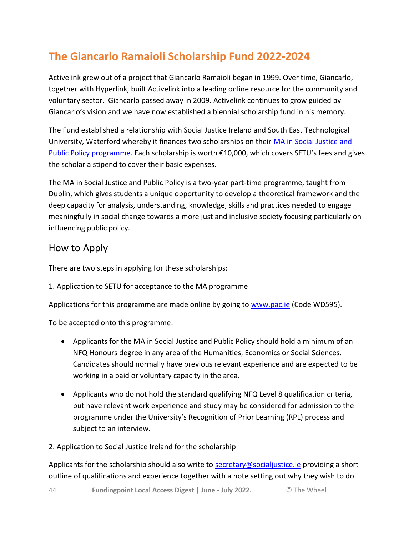## <span id="page-43-0"></span>**The Giancarlo Ramaioli Scholarship Fund 2022-2024**

Activelink grew out of a project that Giancarlo Ramaioli began in 1999. Over time, Giancarlo, together with Hyperlink, built Activelink into a leading online resource for the community and voluntary sector. Giancarlo passed away in 2009. Activelink continues to grow guided by Giancarlo's vision and we have now established a biennial scholarship fund in his memory.

The Fund established a relationship with Social Justice Ireland and South East Technological University, Waterford whereby it finances two scholarships on their [MA in Social Justice and](https://www.activelink.ie/node/90710)  [Public Policy programme.](https://www.activelink.ie/node/90710) Each scholarship is worth €10,000, which covers SETU's fees and gives the scholar a stipend to cover their basic expenses.

The MA in Social Justice and Public Policy is a two-year part-time programme, taught from Dublin, which gives students a unique opportunity to develop a theoretical framework and the deep capacity for analysis, understanding, knowledge, skills and practices needed to engage meaningfully in social change towards a more just and inclusive society focusing particularly on influencing public policy.

### How to Apply

There are two steps in applying for these scholarships:

1. Application to SETU for acceptance to the MA programme

Applications for this programme are made online by going to [www.pac.ie](http://www.pac.ie/) (Code WD595).

To be accepted onto this programme:

- Applicants for the MA in Social Justice and Public Policy should hold a minimum of an NFQ Honours degree in any area of the Humanities, Economics or Social Sciences. Candidates should normally have previous relevant experience and are expected to be working in a paid or voluntary capacity in the area.
- Applicants who do not hold the standard qualifying NFQ Level 8 qualification criteria, but have relevant work experience and study may be considered for admission to the programme under the University's Recognition of Prior Learning (RPL) process and subject to an interview.

#### 2. Application to Social Justice Ireland for the scholarship

Applicants for the scholarship should also write to [secretary@socialjustice.ie](mailto:secretary@socialjustice.ie) providing a short outline of qualifications and experience together with a note setting out why they wish to do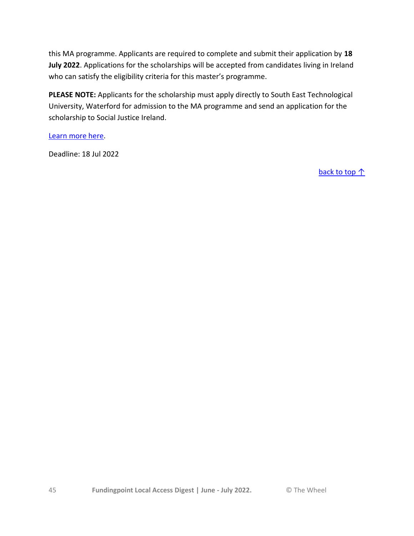this MA programme. Applicants are required to complete and submit their application by **18 July 2022**. Applications for the scholarships will be accepted from candidates living in Ireland who can satisfy the eligibility criteria for this master's programme.

**PLEASE NOTE:** Applicants for the scholarship must apply directly to South East Technological University, Waterford for admission to the MA programme and send an application for the scholarship to Social Justice Ireland.

[Learn more here.](https://www.activelink.ie/community-exchange/funding/90948-the-giancarlo-ramaioli-scholarship-fund-2022-2024)

Deadline: 18 Jul 2022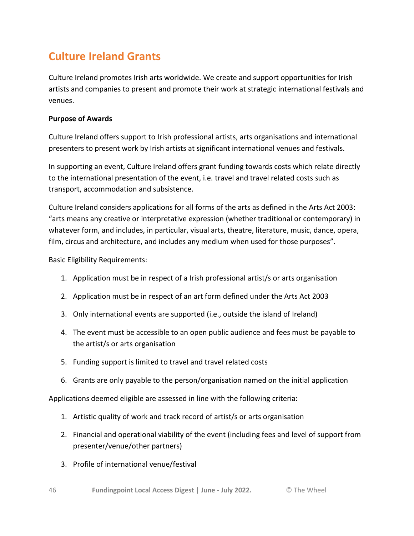## <span id="page-45-0"></span>**Culture Ireland Grants**

Culture Ireland promotes Irish arts worldwide. We create and support opportunities for Irish artists and companies to present and promote their work at strategic international festivals and venues.

#### **Purpose of Awards**

Culture Ireland offers support to Irish professional artists, arts organisations and international presenters to present work by Irish artists at significant international venues and festivals.

In supporting an event, Culture Ireland offers grant funding towards costs which relate directly to the international presentation of the event, i.e. travel and travel related costs such as transport, accommodation and subsistence.

Culture Ireland considers applications for all forms of the arts as defined in the Arts Act 2003: "arts means any creative or interpretative expression (whether traditional or contemporary) in whatever form, and includes, in particular, visual arts, theatre, literature, music, dance, opera, film, circus and architecture, and includes any medium when used for those purposes".

Basic Eligibility Requirements:

- 1. Application must be in respect of a Irish professional artist/s or arts organisation
- 2. Application must be in respect of an art form defined under the Arts Act 2003
- 3. Only international events are supported (i.e., outside the island of Ireland)
- 4. The event must be accessible to an open public audience and fees must be payable to the artist/s or arts organisation
- 5. Funding support is limited to travel and travel related costs
- 6. Grants are only payable to the person/organisation named on the initial application

Applications deemed eligible are assessed in line with the following criteria:

- 1. Artistic quality of work and track record of artist/s or arts organisation
- 2. Financial and operational viability of the event (including fees and level of support from presenter/venue/other partners)
- 3. Profile of international venue/festival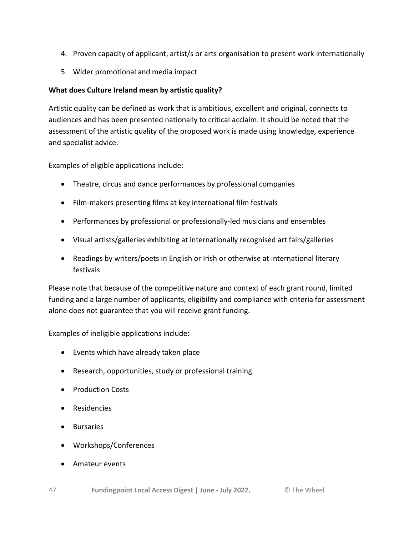- 4. Proven capacity of applicant, artist/s or arts organisation to present work internationally
- 5. Wider promotional and media impact

#### **What does Culture Ireland mean by artistic quality?**

Artistic quality can be defined as work that is ambitious, excellent and original, connects to audiences and has been presented nationally to critical acclaim. It should be noted that the assessment of the artistic quality of the proposed work is made using knowledge, experience and specialist advice.

Examples of eligible applications include:

- Theatre, circus and dance performances by professional companies
- Film-makers presenting films at key international film festivals
- Performances by professional or professionally-led musicians and ensembles
- Visual artists/galleries exhibiting at internationally recognised art fairs/galleries
- Readings by writers/poets in English or Irish or otherwise at international literary festivals

Please note that because of the competitive nature and context of each grant round, limited funding and a large number of applicants, eligibility and compliance with criteria for assessment alone does not guarantee that you will receive grant funding.

Examples of ineligible applications include:

- Events which have already taken place
- Research, opportunities, study or professional training
- Production Costs
- **•** Residencies
- **•** Bursaries
- Workshops/Conferences
- Amateur events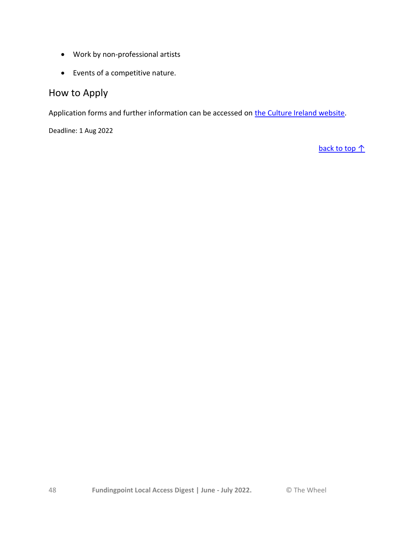- Work by non-professional artists
- Events of a competitive nature.

### How to Apply

Application forms and further information can be accessed on [the Culture Ireland website.](http://www.cultureireland.ie/funding/schemes/regular)

Deadline: 1 Aug 2022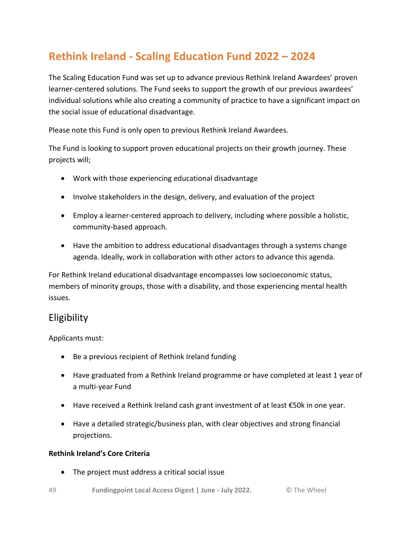## <span id="page-48-0"></span>**Rethink Ireland - Scaling Education Fund 2022 – 2024**

The Scaling Education Fund was set up to advance previous Rethink Ireland Awardees' proven learner-centered solutions. The Fund seeks to support the growth of our previous awardees' individual solutions while also creating a community of practice to have a significant impact on the social issue of educational disadvantage.

Please note this Fund is only open to previous Rethink Ireland Awardees.

The Fund is looking to support proven educational projects on their growth journey. These projects will;

- Work with those experiencing educational disadvantage
- Involve stakeholders in the design, delivery, and evaluation of the project
- Employ a learner-centered approach to delivery, including where possible a holistic, community-based approach.
- Have the ambition to address educational disadvantages through a systems change agenda. Ideally, work in collaboration with other actors to advance this agenda.

For Rethink Ireland educational disadvantage encompasses low socioeconomic status, members of minority groups, those with a disability, and those experiencing mental health issues.

### Eligibility

Applicants must:

- Be a previous recipient of Rethink Ireland funding
- Have graduated from a Rethink Ireland programme or have completed at least 1 year of a multi-year Fund
- Have received a Rethink Ireland cash grant investment of at least €50k in one year.
- Have a detailed strategic/business plan, with clear objectives and strong financial projections.

#### **Rethink Ireland's Core Criteria**

- The project must address a critical social issue
- 49 **Fundingpoint Local Access Digest | June - July 2022.** © The Wheel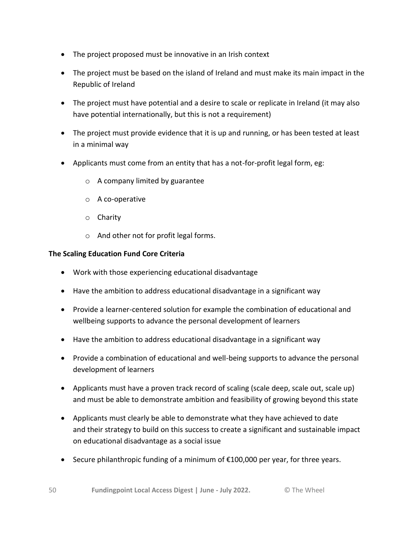- The project proposed must be innovative in an Irish context
- The project must be based on the island of Ireland and must make its main impact in the Republic of Ireland
- The project must have potential and a desire to scale or replicate in Ireland (it may also have potential internationally, but this is not a requirement)
- The project must provide evidence that it is up and running, or has been tested at least in a minimal way
- Applicants must come from an entity that has a not-for-profit legal form, eg:
	- o A company limited by guarantee
	- o A co-operative
	- o Charity
	- o And other not for profit legal forms.

#### **The Scaling Education Fund Core Criteria**

- Work with those experiencing educational disadvantage
- Have the ambition to address educational disadvantage in a significant way
- Provide a learner-centered solution for example the combination of educational and wellbeing supports to advance the personal development of learners
- Have the ambition to address educational disadvantage in a significant way
- Provide a combination of educational and well-being supports to advance the personal development of learners
- Applicants must have a proven track record of scaling (scale deep, scale out, scale up) and must be able to demonstrate ambition and feasibility of growing beyond this state
- Applicants must clearly be able to demonstrate what they have achieved to date and their strategy to build on this success to create a significant and sustainable impact on educational disadvantage as a social issue
- Secure philanthropic funding of a minimum of €100,000 per year, for three years.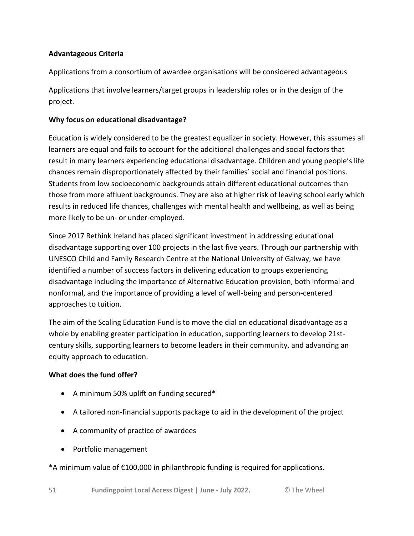#### **Advantageous Criteria**

Applications from a consortium of awardee organisations will be considered advantageous

Applications that involve learners/target groups in leadership roles or in the design of the project.

#### **Why focus on educational disadvantage?**

Education is widely considered to be the greatest equalizer in society. However, this assumes all learners are equal and fails to account for the additional challenges and social factors that result in many learners experiencing educational disadvantage. Children and young people's life chances remain disproportionately affected by their families' social and financial positions. Students from low socioeconomic backgrounds attain different educational outcomes than those from more affluent backgrounds. They are also at higher risk of leaving school early which results in reduced life chances, challenges with mental health and wellbeing, as well as being more likely to be un- or under-employed.

Since 2017 Rethink Ireland has placed significant investment in addressing educational disadvantage supporting over 100 projects in the last five years. Through our partnership with UNESCO Child and Family Research Centre at the National University of Galway, we have identified a number of success factors in delivering education to groups experiencing disadvantage including the importance of Alternative Education provision, both informal and nonformal, and the importance of providing a level of well-being and person-centered approaches to tuition.

The aim of the Scaling Education Fund is to move the dial on educational disadvantage as a whole by enabling greater participation in education, supporting learners to develop 21stcentury skills, supporting learners to become leaders in their community, and advancing an equity approach to education.

#### **What does the fund offer?**

- A minimum 50% uplift on funding secured\*
- A tailored non-financial supports package to aid in the development of the project
- A community of practice of awardees
- Portfolio management

#### \*A minimum value of €100,000 in philanthropic funding is required for applications.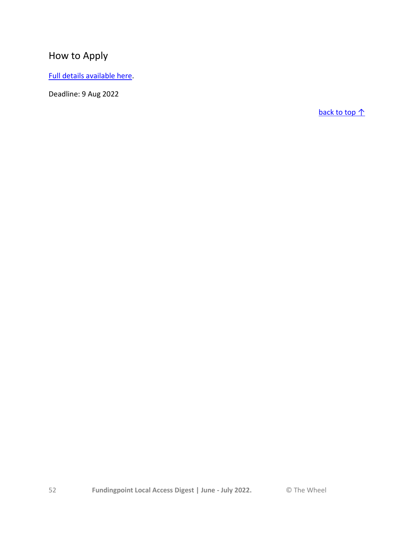## How to Apply

[Full details available here.](https://rethinkireland.ie/current_fund/scaling-education-fund/)

Deadline: 9 Aug 2022